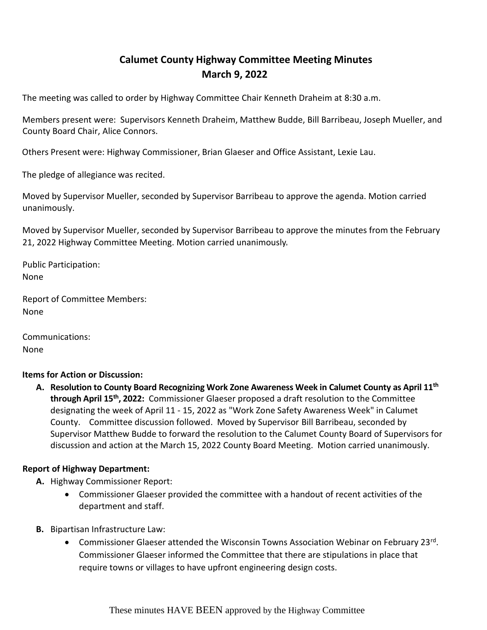## **Calumet County Highway Committee Meeting Minutes March 9, 2022**

The meeting was called to order by Highway Committee Chair Kenneth Draheim at 8:30 a.m.

Members present were: Supervisors Kenneth Draheim, Matthew Budde, Bill Barribeau, Joseph Mueller, and County Board Chair, Alice Connors.

Others Present were: Highway Commissioner, Brian Glaeser and Office Assistant, Lexie Lau.

The pledge of allegiance was recited.

Moved by Supervisor Mueller, seconded by Supervisor Barribeau to approve the agenda. Motion carried unanimously.

Moved by Supervisor Mueller, seconded by Supervisor Barribeau to approve the minutes from the February 21, 2022 Highway Committee Meeting. Motion carried unanimously

Public Participation: None

Report of Committee Members: None

Communications: None

## **Items for Action or Discussion:**

**A. Resolution to County Board Recognizing Work Zone Awareness Week in Calumet County as April 11th through April 15th, 2022:** Commissioner Glaeser proposed a draft resolution to the Committee designating the week of April 11 - 15, 2022 as "Work Zone Safety Awareness Week" in Calumet County. Committee discussion followed. Moved by Supervisor Bill Barribeau, seconded by Supervisor Matthew Budde to forward the resolution to the Calumet County Board of Supervisors for discussion and action at the March 15, 2022 County Board Meeting. Motion carried unanimously.

## **Report of Highway Department:**

- **A.** Highway Commissioner Report:
	- Commissioner Glaeser provided the committee with a handout of recent activities of the department and staff.
- **B.** Bipartisan Infrastructure Law:
	- Commissioner Glaeser attended the Wisconsin Towns Association Webinar on February 23rd. Commissioner Glaeser informed the Committee that there are stipulations in place that require towns or villages to have upfront engineering design costs.